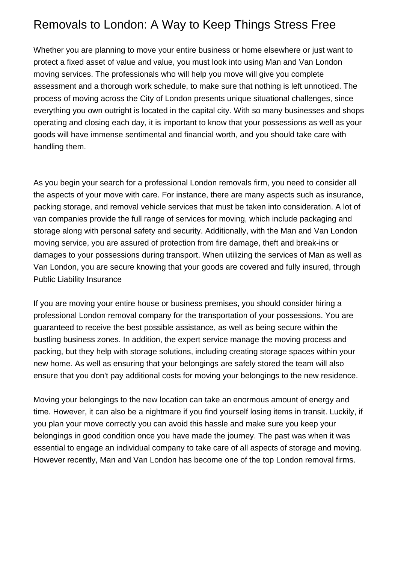## Removals to London: A Way to Keep Things Stress Free

Whether you are planning to move your entire business or home elsewhere or just want to protect a fixed asset of value and value, you must look into using Man and Van London moving services. The professionals who will help you move will give you complete assessment and a thorough work schedule, to make sure that nothing is left unnoticed. The process of moving across the City of London presents unique situational challenges, since everything you own outright is located in the capital city. With so many businesses and shops operating and closing each day, it is important to know that your possessions as well as your goods will have immense sentimental and financial worth, and you should take care with handling them.

As you begin your search for a professional London removals firm, you need to consider all the aspects of your move with care. For instance, there are many aspects such as insurance, packing storage, and removal vehicle services that must be taken into consideration. A lot of van companies provide the full range of services for moving, which include packaging and storage along with personal safety and security. Additionally, with the Man and Van London moving service, you are assured of protection from fire damage, theft and break-ins or damages to your possessions during transport. When utilizing the services of Man as well as Van London, you are secure knowing that your goods are covered and fully insured, through Public Liability Insurance

If you are moving your entire house or business premises, you should consider hiring a professional London removal company for the transportation of your possessions. You are guaranteed to receive the best possible assistance, as well as being secure within the bustling business zones. In addition, the expert service manage the moving process and packing, but they help with storage solutions, including creating storage spaces within your new home. As well as ensuring that your belongings are safely stored the team will also ensure that you don't pay additional costs for moving your belongings to the new residence.

Moving your belongings to the new location can take an enormous amount of energy and time. However, it can also be a nightmare if you find yourself losing items in transit. Luckily, if you plan your move correctly you can avoid this hassle and make sure you keep your belongings in good condition once you have made the journey. The past was when it was essential to engage an individual company to take care of all aspects of storage and moving. However recently, Man and Van London has become one of the top London removal firms.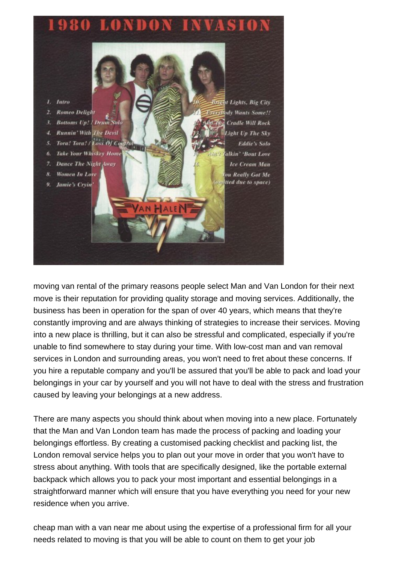



[moving van rental](https://www.amanwithavanlondon.co.uk/moving-van-hire-london-costs/) of the primary reasons people select Man and Van London for their next move is their reputation for providing quality storage and moving services. Additionally, the business has been in operation for the span of over 40 years, which means that they're constantly improving and are always thinking of strategies to increase their services. Moving into a new place is thrilling, but it can also be stressful and complicated, especially if you're unable to find somewhere to stay during your time. With low-cost man and van removal services in London and surrounding areas, you won't need to fret about these concerns. If you hire a reputable company and you'll be assured that you'll be able to pack and load your belongings in your car by yourself and you will not have to deal with the stress and frustration caused by leaving your belongings at a new address.

There are many aspects you should think about when moving into a new place. Fortunately that the Man and Van London team has made the process of packing and loading your belongings effortless. By creating a customised packing checklist and packing list, the London removal service helps you to plan out your move in order that you won't have to stress about anything. With tools that are specifically designed, like the portable external backpack which allows you to pack your most important and essential belongings in a straightforward manner which will ensure that you have everything you need for your new residence when you arrive.

[cheap man with a van near me](https://www.amanwithavanlondon.co.uk/cheap-man-with-van-london/) about using the expertise of a professional firm for all your needs related to moving is that you will be able to count on them to get your job